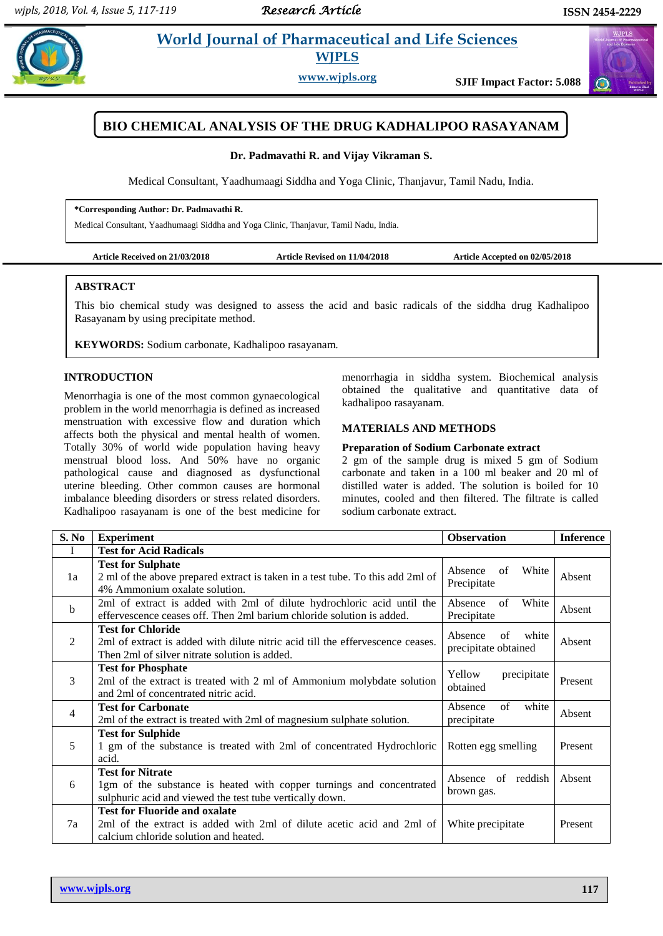$\bigodot$ 

# **Padmit** *et al.* **<b>Pharmaceutical and Life Sciences WJPLS**

**www.wjpls.org SJIF Impact Factor: 5.088**



#### **Dr. Padmavathi R. and Vijay Vikraman S.**

Medical Consultant, Yaadhumaagi Siddha and Yoga Clinic, Thanjavur, Tamil Nadu, India.

#### **\*Corresponding Author: Dr. Padmavathi R.**

Medical Consultant, Yaadhumaagi Siddha and Yoga Clinic, Thanjavur, Tamil Nadu, India.

| Article Accepted on 02/05/2018<br><b>Article Received on 21/03/2018</b><br><b>Article Revised on 11/04/2018</b> |  |  |
|-----------------------------------------------------------------------------------------------------------------|--|--|
|-----------------------------------------------------------------------------------------------------------------|--|--|

#### **ABSTRACT**

This bio chemical study was designed to assess the acid and basic radicals of the siddha drug Kadhalipoo Rasayanam by using precipitate method.

**KEYWORDS:** Sodium carbonate, Kadhalipoo rasayanam.

### **INTRODUCTION**

Menorrhagia is one of the most common gynaecological problem in the world menorrhagia is defined as increased menstruation with excessive flow and duration which affects both the physical and mental health of women. Totally 30% of world wide population having heavy menstrual blood loss. And 50% have no organic pathological cause and diagnosed as dysfunctional uterine bleeding. Other common causes are hormonal imbalance bleeding disorders or stress related disorders. Kadhalipoo rasayanam is one of the best medicine for menorrhagia in siddha system. Biochemical analysis obtained the qualitative and quantitative data of kadhalipoo rasayanam.

#### **MATERIALS AND METHODS**

## **Preparation of Sodium Carbonate extract**

2 gm of the sample drug is mixed 5 gm of Sodium carbonate and taken in a 100 ml beaker and 20 ml of distilled water is added. The solution is boiled for 10 minutes, cooled and then filtered. The filtrate is called sodium carbonate extract.

| S. No          | <b>Experiment</b>                                                                                                                                           | <b>Observation</b>                          | <b>Inference</b> |
|----------------|-------------------------------------------------------------------------------------------------------------------------------------------------------------|---------------------------------------------|------------------|
| I              | <b>Test for Acid Radicals</b>                                                                                                                               |                                             |                  |
| 1a             | <b>Test for Sulphate</b><br>2 ml of the above prepared extract is taken in a test tube. To this add 2ml of<br>4% Ammonium oxalate solution.                 | White<br>of<br>Absence<br>Precipitate       | Absent           |
| $\mathbf b$    | 2ml of extract is added with 2ml of dilute hydrochloric acid until the<br>effervescence ceases off. Then 2ml barium chloride solution is added.             | of<br>White<br>Absence<br>Precipitate       | Absent           |
| 2              | <b>Test for Chloride</b><br>2ml of extract is added with dilute nitric acid till the effervescence ceases.<br>Then 2ml of silver nitrate solution is added. | of white<br>Absence<br>precipitate obtained | Absent           |
| 3              | <b>Test for Phosphate</b><br>2ml of the extract is treated with 2 ml of Ammonium molybdate solution<br>and 2ml of concentrated nitric acid.                 | Yellow<br>precipitate<br>obtained           | Present          |
| $\overline{4}$ | <b>Test for Carbonate</b><br>2ml of the extract is treated with 2ml of magnesium sulphate solution.                                                         | of<br>white<br>Absence<br>precipitate       | Absent           |
| 5              | <b>Test for Sulphide</b><br>1 gm of the substance is treated with 2ml of concentrated Hydrochloric<br>acid.                                                 | Rotten egg smelling                         | Present          |
| 6              | <b>Test for Nitrate</b><br>1gm of the substance is heated with copper turnings and concentrated<br>sulphuric acid and viewed the test tube vertically down. | Absence of reddish<br>brown gas.            | Absent           |
| 7a             | <b>Test for Fluoride and oxalate</b><br>2ml of the extract is added with 2ml of dilute acetic acid and 2ml of<br>calcium chloride solution and heated.      | White precipitate                           | Present          |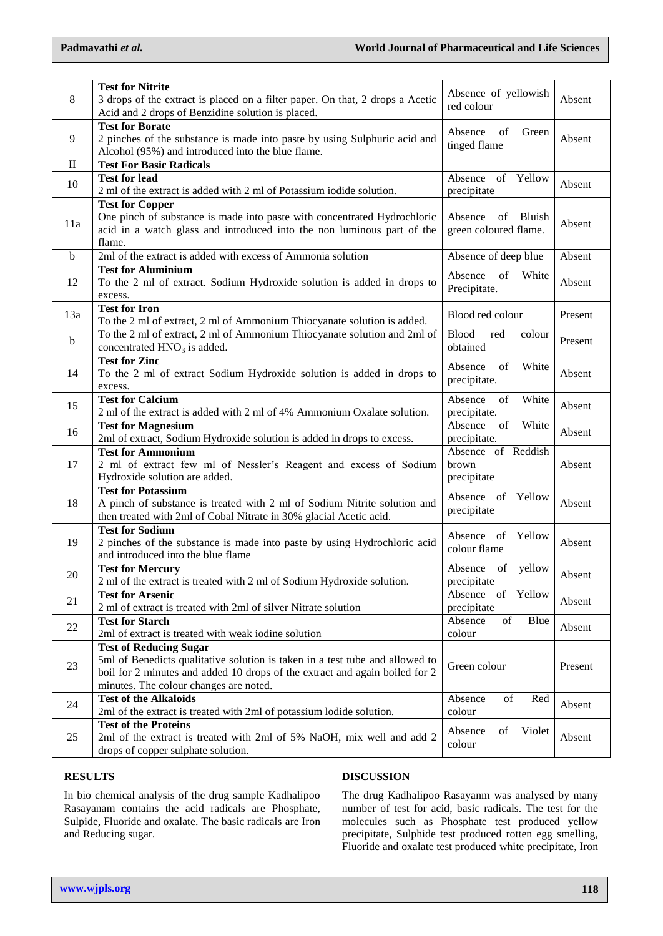|     | <b>Test for Nitrite</b>                                                                           | Absence of yellowish          |         |
|-----|---------------------------------------------------------------------------------------------------|-------------------------------|---------|
| 8   | 3 drops of the extract is placed on a filter paper. On that, 2 drops a Acetic                     | red colour                    | Absent  |
|     | Acid and 2 drops of Benzidine solution is placed.                                                 |                               |         |
|     | <b>Test for Borate</b>                                                                            | Absence<br>of<br>Green        |         |
| 9   | 2 pinches of the substance is made into paste by using Sulphuric acid and                         | tinged flame                  | Absent  |
|     | Alcohol (95%) and introduced into the blue flame.                                                 |                               |         |
| П   | <b>Test For Basic Radicals</b>                                                                    |                               |         |
|     | <b>Test for lead</b>                                                                              | Absence of Yellow             |         |
| 10  | 2 ml of the extract is added with 2 ml of Potassium iodide solution.                              | precipitate                   | Absent  |
|     | <b>Test for Copper</b>                                                                            |                               |         |
|     | One pinch of substance is made into paste with concentrated Hydrochloric                          | Absence<br>of<br>Bluish       |         |
| 11a | acid in a watch glass and introduced into the non luminous part of the                            | green coloured flame.         | Absent  |
|     | flame.                                                                                            |                               |         |
| b   | 2ml of the extract is added with excess of Ammonia solution                                       | Absence of deep blue          | Absent  |
|     |                                                                                                   |                               |         |
|     | <b>Test for Aluminium</b>                                                                         | White<br>Absence<br>of        |         |
| 12  | To the 2 ml of extract. Sodium Hydroxide solution is added in drops to                            | Precipitate.                  | Absent  |
|     | excess.                                                                                           |                               |         |
| 13a | <b>Test for Iron</b>                                                                              | Blood red colour              | Present |
|     | To the 2 ml of extract, 2 ml of Ammonium Thiocyanate solution is added.                           |                               |         |
| b   | To the 2 ml of extract, 2 ml of Ammonium Thiocyanate solution and 2ml of                          | <b>Blood</b><br>colour<br>red | Present |
|     | concentrated $HNO3$ is added.                                                                     | obtained                      |         |
|     | <b>Test for Zinc</b>                                                                              | Absence<br>of<br>White        |         |
| 14  | To the 2 ml of extract Sodium Hydroxide solution is added in drops to                             |                               | Absent  |
|     | excess.                                                                                           | precipitate.                  |         |
|     | <b>Test for Calcium</b>                                                                           | Absence<br>White<br>of        |         |
| 15  | 2 ml of the extract is added with 2 ml of 4% Ammonium Oxalate solution.                           | precipitate.                  | Absent  |
|     | <b>Test for Magnesium</b>                                                                         | Absence<br>of<br>White        |         |
| 16  | 2ml of extract, Sodium Hydroxide solution is added in drops to excess.                            | precipitate.                  | Absent  |
|     | <b>Test for Ammonium</b>                                                                          | Absence of Reddish            |         |
| 17  | 2 ml of extract few ml of Nessler's Reagent and excess of Sodium                                  | brown                         | Absent  |
|     | Hydroxide solution are added.                                                                     | precipitate                   |         |
|     | <b>Test for Potassium</b>                                                                         |                               |         |
| 18  | A pinch of substance is treated with 2 ml of Sodium Nitrite solution and                          | Absence of Yellow             | Absent  |
|     | then treated with 2ml of Cobal Nitrate in 30% glacial Acetic acid.                                | precipitate                   |         |
|     | <b>Test for Sodium</b>                                                                            |                               |         |
| 19  | 2 pinches of the substance is made into paste by using Hydrochloric acid                          | Yellow<br>Absence of          | Absent  |
|     | and introduced into the blue flame                                                                | colour flame                  |         |
|     |                                                                                                   | yellow                        |         |
| 20  | <b>Test for Mercury</b><br>2 ml of the extract is treated with 2 ml of Sodium Hydroxide solution. | Absence<br>of<br>precipitate  | Absent  |
|     |                                                                                                   |                               |         |
| 21  | <b>Test for Arsenic</b>                                                                           | Absence<br>Yellow<br>of       | Absent  |
|     | 2 ml of extract is treated with 2ml of silver Nitrate solution                                    | precipitate                   |         |
| 22  | <b>Test for Starch</b>                                                                            | Blue<br>Absence<br>of         | Absent  |
|     | 2ml of extract is treated with weak iodine solution                                               | colour                        |         |
|     | <b>Test of Reducing Sugar</b>                                                                     |                               |         |
| 23  | 5ml of Benedicts qualitative solution is taken in a test tube and allowed to                      | Green colour                  | Present |
|     | boil for 2 minutes and added 10 drops of the extract and again boiled for 2                       |                               |         |
|     | minutes. The colour changes are noted.                                                            |                               |         |
| 24  | <b>Test of the Alkaloids</b>                                                                      | Absence<br>of<br>Red          | Absent  |
|     | 2ml of the extract is treated with 2ml of potassium lodide solution.                              | colour                        |         |
| 25  | <b>Test of the Proteins</b>                                                                       |                               |         |
|     | 2ml of the extract is treated with 2ml of 5% NaOH, mix well and add 2                             | Violet<br>Absence<br>of       | Absent  |
|     | drops of copper sulphate solution.                                                                | colour                        |         |

## **RESULTS**

In bio chemical analysis of the drug sample Kadhalipoo Rasayanam contains the acid radicals are Phosphate, Sulpide, Fluoride and oxalate. The basic radicals are Iron and Reducing sugar.

## **DISCUSSION**

The drug Kadhalipoo Rasayanm was analysed by many number of test for acid, basic radicals. The test for the molecules such as Phosphate test produced yellow precipitate, Sulphide test produced rotten egg smelling, Fluoride and oxalate test produced white precipitate, Iron